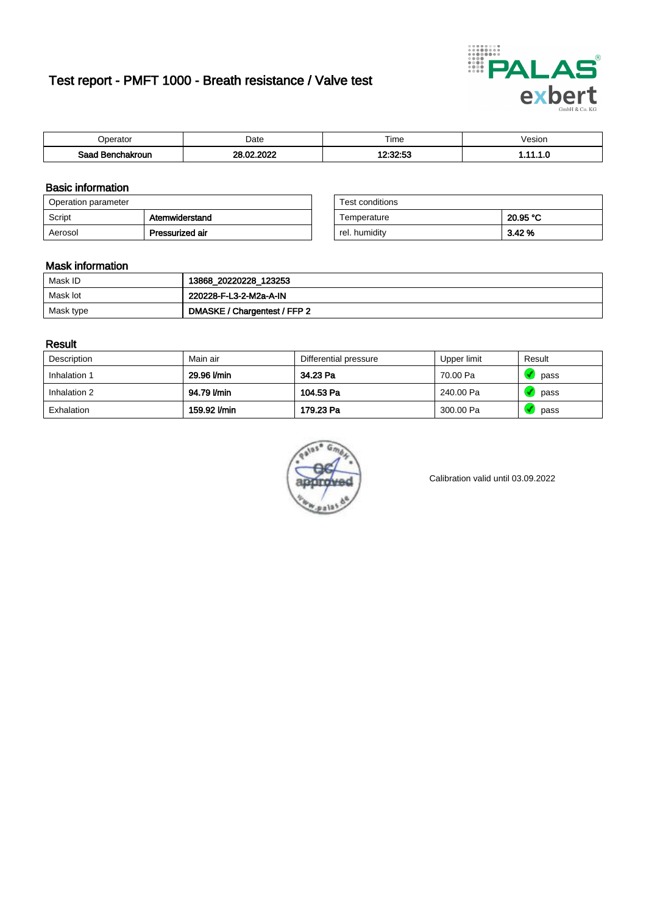# Test report - PMFT 1000 - Breath resistance / Valve test



| )perator                | Date                      | $- \cdot$<br>Fime | esion |
|-------------------------|---------------------------|-------------------|-------|
| Sood<br>hakroun<br>32 H | , nnac<br>no.<br>ററ<br>w. | 10.00.50<br>.     | .     |

### Basic information

| Operation parameter |                 | Test conditions |          |
|---------------------|-----------------|-----------------|----------|
| Script              | Atemwiderstand  | Temperature     | 20.95 °C |
| Aerosol             | Pressurized air | rel. humidity   | 3.42 %   |

| Test conditions |          |
|-----------------|----------|
| Temperature     | 20.95 °C |
| rel. humidity   | 3.42%    |

### Mask information

| Mask ID   | 13868_20220228_123253        |
|-----------|------------------------------|
| Mask lot  | 220228-F-L3-2-M2a-A-IN       |
| Mask type | DMASKE / Chargentest / FFP 2 |

### Result

| Description  | Main air     | Differential pressure | Upper limit | Result |
|--------------|--------------|-----------------------|-------------|--------|
| Inhalation 1 | 29.96 l/min  | 34.23 Pa              | 70.00 Pa    | pass   |
| Inhalation 2 | 94.79 l/min  | 104.53 Pa             | 240.00 Pa   | pass   |
| Exhalation   | 159.92 l/min | 179.23 Pa             | 300.00 Pa   | pass   |



Calibration valid until 03.09.2022